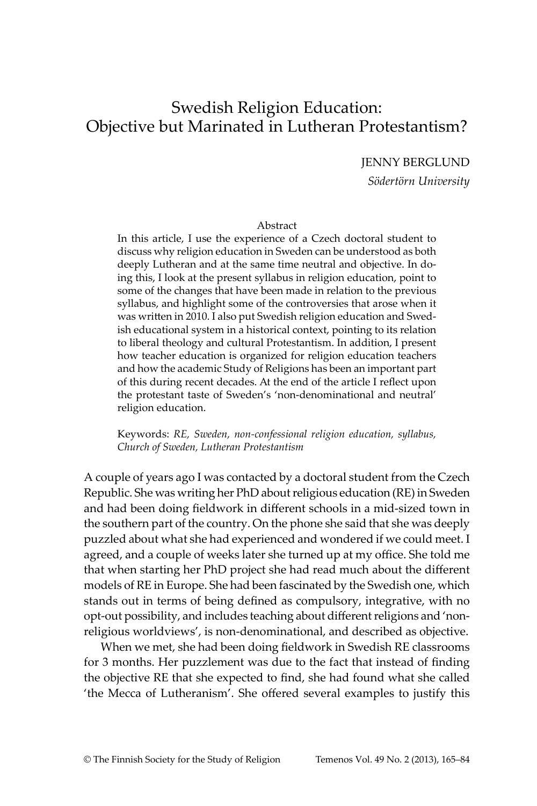# Swedish Religion Education: Objective but Marinated in Lutheran Protestantism?

JENNY BERGLUND

*Södertörn University*

#### Abstract

In this article, I use the experience of a Czech doctoral student to discuss why religion education in Sweden can be understood as both deeply Lutheran and at the same time neutral and objective. In doing this, I look at the present syllabus in religion education, point to some of the changes that have been made in relation to the previous syllabus, and highlight some of the controversies that arose when it was written in 2010. I also put Swedish religion education and Swedish educational system in a historical context, pointing to its relation to liberal theology and cultural Protestantism. In addition, I present how teacher education is organized for religion education teachers and how the academic Study of Religions has been an important part of this during recent decades. At the end of the article I reflect upon the protestant taste of Sweden's 'non-denominational and neutral' religion education.

Keywords: *RE, Sweden, non-confessional religion education, syllabus, Church of Sweden, Lutheran Protestantism*

A couple of years ago I was contacted by a doctoral student from the Czech Republic. She was writing her PhD about religious education (RE) in Sweden and had been doing fieldwork in different schools in a mid-sized town in the southern part of the country. On the phone she said that she was deeply puzzled about what she had experienced and wondered if we could meet. I agreed, and a couple of weeks later she turned up at my office. She told me that when starting her PhD project she had read much about the different models of RE in Europe. She had been fascinated by the Swedish one, which stands out in terms of being defined as compulsory, integrative, with no opt-out possibility, and includes teaching about different religions and 'nonreligious worldviews', is non-denominational, and described as objective.

When we met, she had been doing fieldwork in Swedish RE classrooms for 3 months. Her puzzlement was due to the fact that instead of finding the objective RE that she expected to find, she had found what she called 'the Mecca of Lutheranism'. She offered several examples to justify this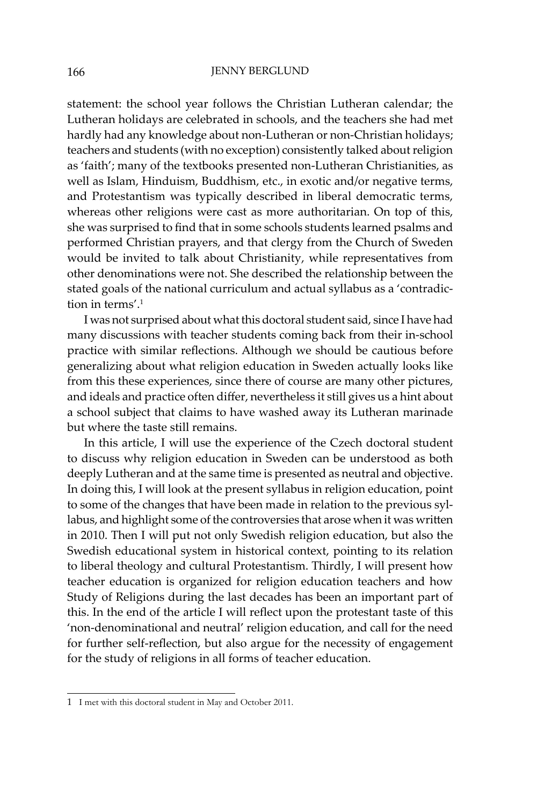statement: the school year follows the Christian Lutheran calendar; the Lutheran holidays are celebrated in schools, and the teachers she had met hardly had any knowledge about non-Lutheran or non-Christian holidays; teachers and students (with no exception) consistently talked about religion as 'faith'; many of the textbooks presented non-Lutheran Christianities, as well as Islam, Hinduism, Buddhism, etc., in exotic and/or negative terms, and Protestantism was typically described in liberal democratic terms, whereas other religions were cast as more authoritarian. On top of this, she was surprised to find that in some schools students learned psalms and performed Christian prayers, and that clergy from the Church of Sweden would be invited to talk about Christianity, while representatives from other denominations were not. She described the relationship between the stated goals of the national curriculum and actual syllabus as a 'contradiction in terms<sup>' 1</sup>

I was not surprised about what this doctoral student said, since I have had many discussions with teacher students coming back from their in-school practice with similar reflections. Although we should be cautious before generalizing about what religion education in Sweden actually looks like from this these experiences, since there of course are many other pictures, and ideals and practice often differ, nevertheless it still gives us a hint about a school subject that claims to have washed away its Lutheran marinade but where the taste still remains.

In this article, I will use the experience of the Czech doctoral student to discuss why religion education in Sweden can be understood as both deeply Lutheran and at the same time is presented as neutral and objective. In doing this, I will look at the present syllabus in religion education, point to some of the changes that have been made in relation to the previous syllabus, and highlight some of the controversies that arose when it was written in 2010. Then I will put not only Swedish religion education, but also the Swedish educational system in historical context, pointing to its relation to liberal theology and cultural Protestantism. Thirdly, I will present how teacher education is organized for religion education teachers and how Study of Religions during the last decades has been an important part of this. In the end of the article I will reflect upon the protestant taste of this 'non-denominational and neutral' religion education, and call for the need for further self-reflection, but also argue for the necessity of engagement for the study of religions in all forms of teacher education.

<sup>1</sup>  I met with this doctoral student in May and October 2011.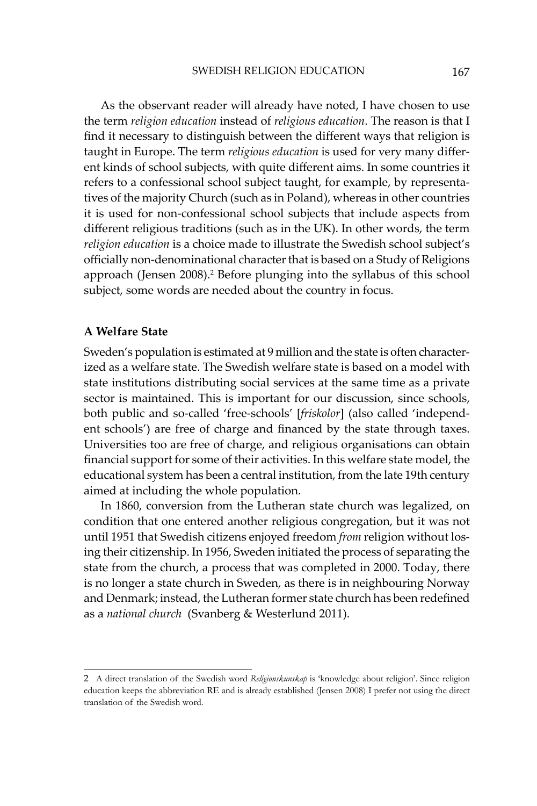As the observant reader will already have noted, I have chosen to use the term *religion education* instead of *religious education*. The reason is that I find it necessary to distinguish between the different ways that religion is taught in Europe. The term *religious education* is used for very many different kinds of school subjects, with quite different aims. In some countries it refers to a confessional school subject taught, for example, by representatives of the majority Church (such as in Poland), whereas in other countries it is used for non-confessional school subjects that include aspects from different religious traditions (such as in the UK). In other words, the term *religion education* is a choice made to illustrate the Swedish school subject's officially non-denominational character that is based on a Study of Religions approach (Jensen 2008).<sup>2</sup> Before plunging into the syllabus of this school subject, some words are needed about the country in focus.

## **A Welfare State**

Sweden's population is estimated at 9 million and the state is often characterized as a welfare state. The Swedish welfare state is based on a model with state institutions distributing social services at the same time as a private sector is maintained. This is important for our discussion, since schools, both public and so-called 'free-schools' [*friskolor*] (also called 'independent schools') are free of charge and financed by the state through taxes. Universities too are free of charge, and religious organisations can obtain financial support for some of their activities. In this welfare state model, the educational system has been a central institution, from the late 19th century aimed at including the whole population.

In 1860, conversion from the Lutheran state church was legalized, on condition that one entered another religious congregation, but it was not until 1951 that Swedish citizens enjoyed freedom *from* religion without losing their citizenship. In 1956, Sweden initiated the process of separating the state from the church, a process that was completed in 2000. Today, there is no longer a state church in Sweden, as there is in neighbouring Norway and Denmark; instead, the Lutheran former state church has been redefined as a *national church* (Svanberg & Westerlund 2011).

<sup>2</sup>  A direct translation of the Swedish word *Religionskunskap* is 'knowledge about religion'. Since religion education keeps the abbreviation RE and is already established (Jensen 2008) I prefer not using the direct translation of the Swedish word.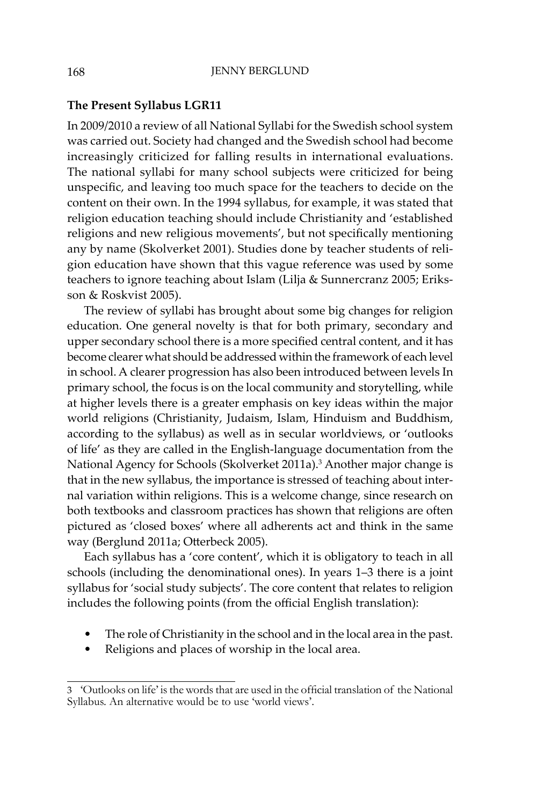## **The Present Syllabus LGR11**

In 2009/2010 a review of all National Syllabi for the Swedish school system was carried out. Society had changed and the Swedish school had become increasingly criticized for falling results in international evaluations. The national syllabi for many school subjects were criticized for being unspecific, and leaving too much space for the teachers to decide on the content on their own. In the 1994 syllabus, for example, it was stated that religion education teaching should include Christianity and 'established religions and new religious movements', but not specifically mentioning any by name (Skolverket 2001). Studies done by teacher students of religion education have shown that this vague reference was used by some teachers to ignore teaching about Islam (Lilja & Sunnercranz 2005; Eriksson & Roskvist 2005).

The review of syllabi has brought about some big changes for religion education. One general novelty is that for both primary, secondary and upper secondary school there is a more specified central content, and it has become clearer what should be addressed within the framework of each level in school. A clearer progression has also been introduced between levels In primary school, the focus is on the local community and storytelling, while at higher levels there is a greater emphasis on key ideas within the major world religions (Christianity, Judaism, Islam, Hinduism and Buddhism, according to the syllabus) as well as in secular worldviews, or 'outlooks of life' as they are called in the English-language documentation from the National Agency for Schools (Skolverket 2011a).<sup>3</sup> Another major change is that in the new syllabus, the importance is stressed of teaching about internal variation within religions. This is a welcome change, since research on both textbooks and classroom practices has shown that religions are often pictured as 'closed boxes' where all adherents act and think in the same way (Berglund 2011a; Otterbeck 2005).

Each syllabus has a 'core content', which it is obligatory to teach in all schools (including the denominational ones). In years 1–3 there is a joint syllabus for 'social study subjects'. The core content that relates to religion includes the following points (from the official English translation):

- The role of Christianity in the school and in the local area in the past.
- Religions and places of worship in the local area.

<sup>3</sup> 'Outlooks on life' is the words that are used in the official translation of the National Syllabus. An alternative would be to use 'world views'.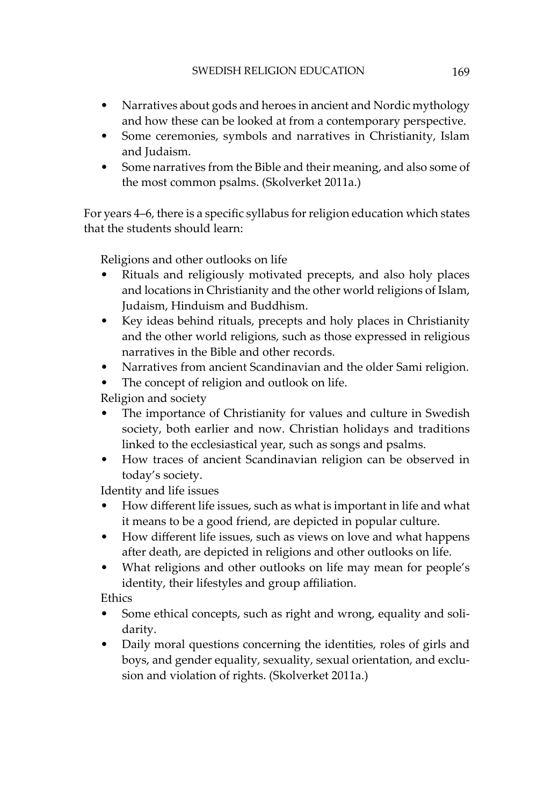- Narratives about gods and heroes in ancient and Nordic mythology and how these can be looked at from a contemporary perspective.
- Some ceremonies, symbols and narratives in Christianity, Islam and Judaism.
- Some narratives from the Bible and their meaning, and also some of the most common psalms. (Skolverket 2011a.)

For years 4–6, there is a specific syllabus for religion education which states that the students should learn:

Religions and other outlooks on life

- Rituals and religiously motivated precepts, and also holy places and locations in Christianity and the other world religions of Islam, Judaism, Hinduism and Buddhism.
- Key ideas behind rituals, precepts and holy places in Christianity and the other world religions, such as those expressed in religious narratives in the Bible and other records.
- Narratives from ancient Scandinavian and the older Sami religion.
- The concept of religion and outlook on life.

Religion and society

- The importance of Christianity for values and culture in Swedish society, both earlier and now. Christian holidays and traditions linked to the ecclesiastical year, such as songs and psalms.
- How traces of ancient Scandinavian religion can be observed in today's society.

Identity and life issues

- How different life issues, such as what is important in life and what it means to be a good friend, are depicted in popular culture.
- How different life issues, such as views on love and what happens after death, are depicted in religions and other outlooks on life.
- What religions and other outlooks on life may mean for people's identity, their lifestyles and group affiliation.

Ethics

- Some ethical concepts, such as right and wrong, equality and solidarity.
- Daily moral questions concerning the identities, roles of girls and boys, and gender equality, sexuality, sexual orientation, and exclusion and violation of rights. (Skolverket 2011a.)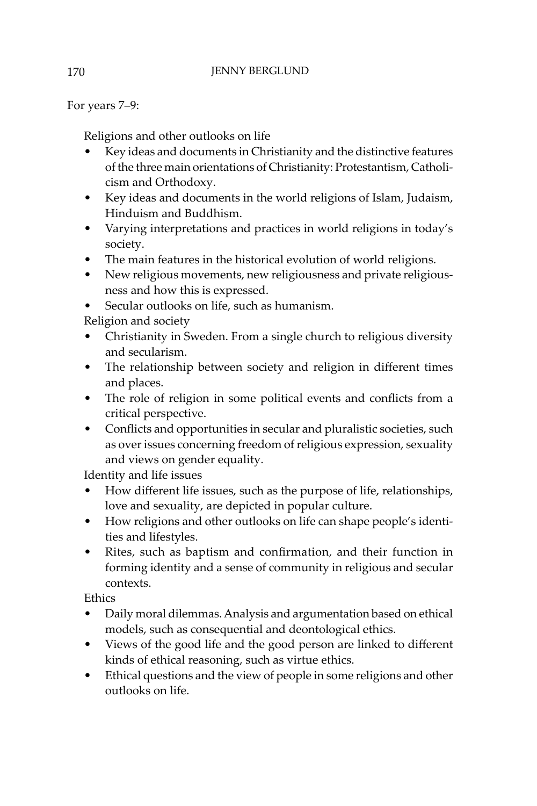# 170 **JENNY BERGLUND**

For years 7–9:

Religions and other outlooks on life

- Key ideas and documents in Christianity and the distinctive features of the three main orientations of Christianity: Protestantism, Catholicism and Orthodoxy.
- Key ideas and documents in the world religions of Islam, Judaism, Hinduism and Buddhism.
- Varying interpretations and practices in world religions in today's society.
- The main features in the historical evolution of world religions.
- New religious movements, new religiousness and private religiousness and how this is expressed.
- Secular outlooks on life, such as humanism.

Religion and society

- Christianity in Sweden. From a single church to religious diversity and secularism.
- The relationship between society and religion in different times and places.
- The role of religion in some political events and conflicts from a critical perspective.
- Conflicts and opportunities in secular and pluralistic societies, such as over issues concerning freedom of religious expression, sexuality and views on gender equality.

Identity and life issues

- How different life issues, such as the purpose of life, relationships, love and sexuality, are depicted in popular culture.
- How religions and other outlooks on life can shape people's identities and lifestyles.
- Rites, such as baptism and confirmation, and their function in forming identity and a sense of community in religious and secular contexts.

Ethics

- Daily moral dilemmas. Analysis and argumentation based on ethical models, such as consequential and deontological ethics.
- Views of the good life and the good person are linked to different kinds of ethical reasoning, such as virtue ethics.
- Ethical questions and the view of people in some religions and other outlooks on life.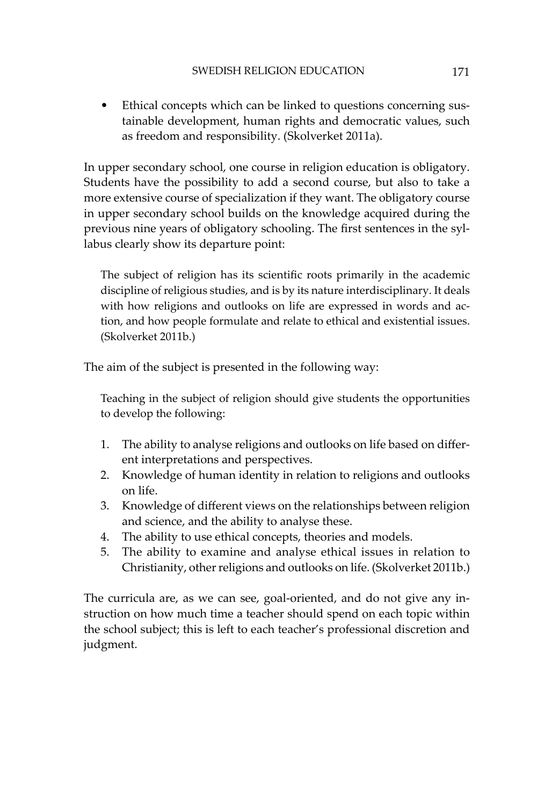• Ethical concepts which can be linked to questions concerning sustainable development, human rights and democratic values, such as freedom and responsibility. (Skolverket 2011a).

In upper secondary school, one course in religion education is obligatory. Students have the possibility to add a second course, but also to take a more extensive course of specialization if they want. The obligatory course in upper secondary school builds on the knowledge acquired during the previous nine years of obligatory schooling. The first sentences in the syllabus clearly show its departure point:

The subject of religion has its scientific roots primarily in the academic discipline of religious studies, and is by its nature interdisciplinary. It deals with how religions and outlooks on life are expressed in words and action, and how people formulate and relate to ethical and existential issues. (Skolverket 2011b.)

The aim of the subject is presented in the following way:

Teaching in the subject of religion should give students the opportunities to develop the following:

- 1. The ability to analyse religions and outlooks on life based on different interpretations and perspectives.
- 2. Knowledge of human identity in relation to religions and outlooks on life.
- 3. Knowledge of different views on the relationships between religion and science, and the ability to analyse these.
- 4. The ability to use ethical concepts, theories and models.
- 5. The ability to examine and analyse ethical issues in relation to Christianity, other religions and outlooks on life. (Skolverket 2011b.)

The curricula are, as we can see, goal-oriented, and do not give any instruction on how much time a teacher should spend on each topic within the school subject; this is left to each teacher's professional discretion and judgment.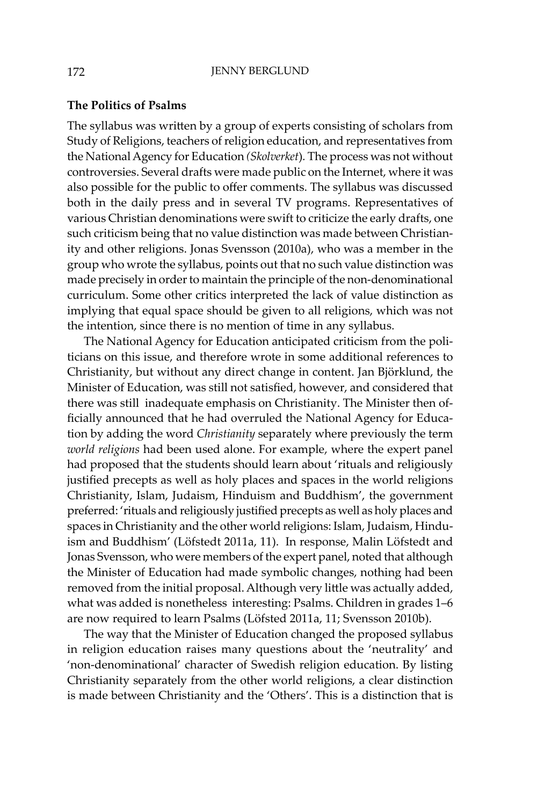#### **The Politics of Psalms**

The syllabus was written by a group of experts consisting of scholars from Study of Religions, teachers of religion education, and representatives from the National Agency for Education *(Skolverket*)*.* The process was not without controversies. Several drafts were made public on the Internet, where it was also possible for the public to offer comments. The syllabus was discussed both in the daily press and in several TV programs. Representatives of various Christian denominations were swift to criticize the early drafts, one such criticism being that no value distinction was made between Christianity and other religions. Jonas Svensson (2010a), who was a member in the group who wrote the syllabus, points out that no such value distinction was made precisely in order to maintain the principle of the non-denominational curriculum. Some other critics interpreted the lack of value distinction as implying that equal space should be given to all religions, which was not the intention, since there is no mention of time in any syllabus.

The National Agency for Education anticipated criticism from the politicians on this issue, and therefore wrote in some additional references to Christianity, but without any direct change in content. Jan Björklund, the Minister of Education, was still not satisfied, however, and considered that there was still inadequate emphasis on Christianity. The Minister then officially announced that he had overruled the National Agency for Education by adding the word *Christianity* separately where previously the term *world religions* had been used alone. For example, where the expert panel had proposed that the students should learn about 'rituals and religiously justified precepts as well as holy places and spaces in the world religions Christianity, Islam, Judaism, Hinduism and Buddhism', the government preferred: 'rituals and religiously justified precepts as well as holy places and spaces in Christianity and the other world religions: Islam, Judaism, Hinduism and Buddhism' (Löfstedt 2011a, 11). In response, Malin Löfstedt and Jonas Svensson, who were members of the expert panel, noted that although the Minister of Education had made symbolic changes, nothing had been removed from the initial proposal. Although very little was actually added, what was added is nonetheless interesting: Psalms. Children in grades 1–6 are now required to learn Psalms (Löfsted 2011a, 11; Svensson 2010b).

The way that the Minister of Education changed the proposed syllabus in religion education raises many questions about the 'neutrality' and 'non-denominational' character of Swedish religion education. By listing Christianity separately from the other world religions, a clear distinction is made between Christianity and the 'Others'. This is a distinction that is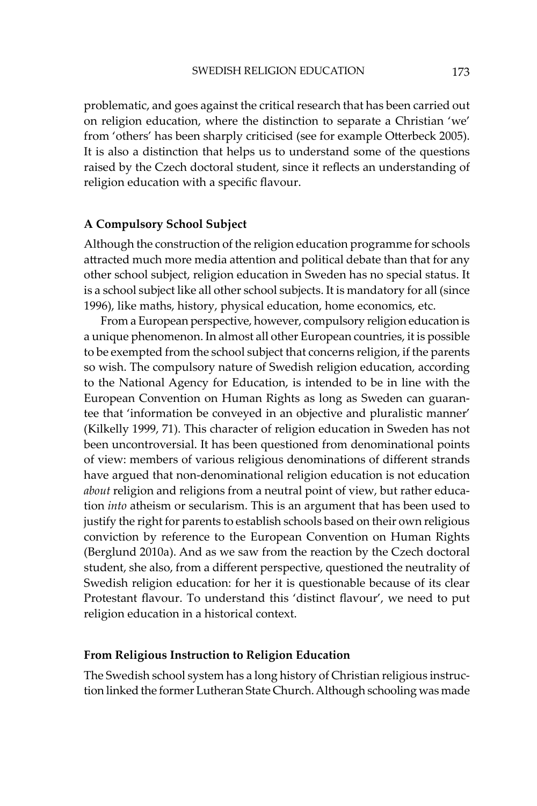problematic, and goes against the critical research that has been carried out on religion education, where the distinction to separate a Christian 'we' from 'others' has been sharply criticised (see for example Otterbeck 2005). It is also a distinction that helps us to understand some of the questions raised by the Czech doctoral student, since it reflects an understanding of religion education with a specific flavour.

# **A Compulsory School Subject**

Although the construction of the religion education programme for schools attracted much more media attention and political debate than that for any other school subject, religion education in Sweden has no special status. It is a school subject like all other school subjects. It is mandatory for all (since 1996), like maths, history, physical education, home economics, etc.

From a European perspective, however, compulsory religion education is a unique phenomenon. In almost all other European countries, it is possible to be exempted from the school subject that concerns religion, if the parents so wish. The compulsory nature of Swedish religion education, according to the National Agency for Education, is intended to be in line with the European Convention on Human Rights as long as Sweden can guarantee that 'information be conveyed in an objective and pluralistic manner' (Kilkelly 1999, 71). This character of religion education in Sweden has not been uncontroversial. It has been questioned from denominational points of view: members of various religious denominations of different strands have argued that non-denominational religion education is not education *about* religion and religions from a neutral point of view, but rather education *into* atheism or secularism. This is an argument that has been used to justify the right for parents to establish schools based on their own religious conviction by reference to the European Convention on Human Rights (Berglund 2010a). And as we saw from the reaction by the Czech doctoral student, she also, from a different perspective, questioned the neutrality of Swedish religion education: for her it is questionable because of its clear Protestant flavour. To understand this 'distinct flavour', we need to put religion education in a historical context.

# **From Religious Instruction to Religion Education**

The Swedish school system has a long history of Christian religious instruction linked the former Lutheran State Church. Although schooling was made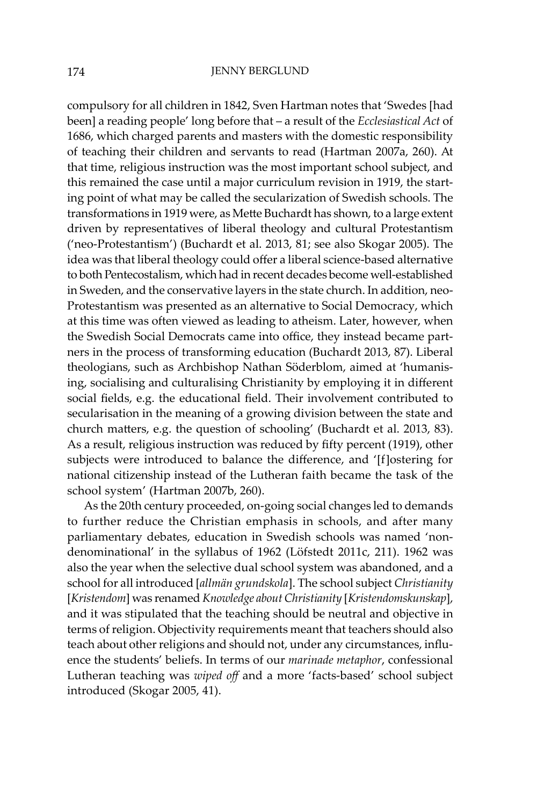compulsory for all children in 1842, Sven Hartman notes that 'Swedes [had been] a reading people' long before that – a result of the *Ecclesiastical Act* of 1686, which charged parents and masters with the domestic responsibility of teaching their children and servants to read (Hartman 2007a, 260). At that time, religious instruction was the most important school subject, and this remained the case until a major curriculum revision in 1919, the starting point of what may be called the secularization of Swedish schools. The transformations in 1919 were, as Mette Buchardt has shown, to a large extent driven by representatives of liberal theology and cultural Protestantism ('neo-Protestantism') (Buchardt et al. 2013, 81; see also Skogar 2005). The idea was that liberal theology could offer a liberal science-based alternative to both Pentecostalism, which had in recent decades become well-established in Sweden, and the conservative layers in the state church. In addition, neo-Protestantism was presented as an alternative to Social Democracy, which at this time was often viewed as leading to atheism. Later, however, when the Swedish Social Democrats came into office, they instead became partners in the process of transforming education (Buchardt 2013, 87). Liberal theologians, such as Archbishop Nathan Söderblom, aimed at 'humanising, socialising and culturalising Christianity by employing it in different social fields, e.g. the educational field. Their involvement contributed to secularisation in the meaning of a growing division between the state and church matters, e.g. the question of schooling' (Buchardt et al. 2013, 83). As a result, religious instruction was reduced by fifty percent (1919), other subjects were introduced to balance the difference, and '[f]ostering for national citizenship instead of the Lutheran faith became the task of the school system' (Hartman 2007b, 260).

As the 20th century proceeded, on-going social changes led to demands to further reduce the Christian emphasis in schools, and after many parliamentary debates, education in Swedish schools was named 'nondenominational' in the syllabus of 1962 (Löfstedt 2011c, 211). 1962 was also the year when the selective dual school system was abandoned, and a school for all introduced [*allmän grundskola*]. The school subject *Christianity*  [*Kristendom*] was renamed *Knowledge about Christianity* [*Kristendomskunskap*], and it was stipulated that the teaching should be neutral and objective in terms of religion. Objectivity requirements meant that teachers should also teach about other religions and should not, under any circumstances, influence the students' beliefs. In terms of our *marinade metaphor*, confessional Lutheran teaching was *wiped off* and a more 'facts-based' school subject introduced (Skogar 2005, 41).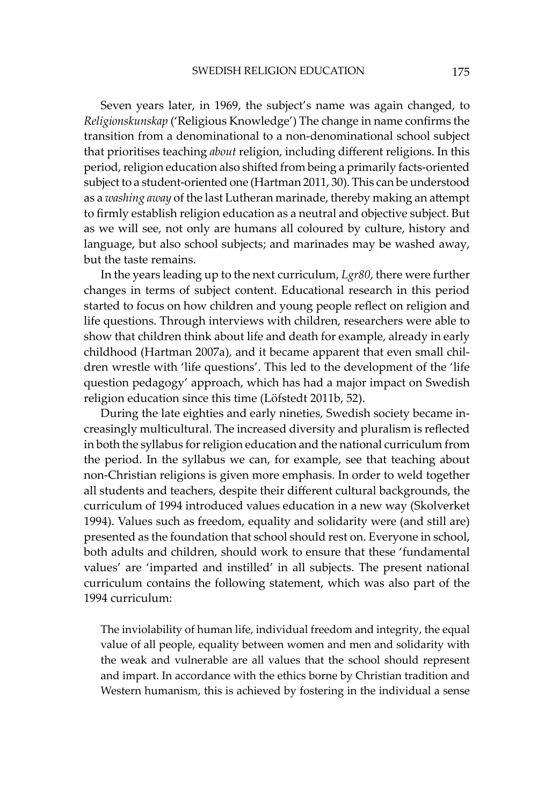Seven years later, in 1969, the subject's name was again changed, to *Religionskunskap* ('Religious Knowledge') The change in name confirms the transition from a denominational to a non-denominational school subject that prioritises teaching *about* religion, including different religions. In this period, religion education also shifted from being a primarily facts-oriented subject to a student-oriented one (Hartman 2011, 30). This can be understood as a *washing away* of the last Lutheran marinade, thereby making an attempt to firmly establish religion education as a neutral and objective subject. But as we will see, not only are humans all coloured by culture, history and language, but also school subjects; and marinades may be washed away, but the taste remains.

In the years leading up to the next curriculum, *Lgr80*, there were further changes in terms of subject content. Educational research in this period started to focus on how children and young people reflect on religion and life questions. Through interviews with children, researchers were able to show that children think about life and death for example, already in early childhood (Hartman 2007a), and it became apparent that even small children wrestle with 'life questions'. This led to the development of the 'life question pedagogy' approach, which has had a major impact on Swedish religion education since this time (Löfstedt 2011b, 52).

During the late eighties and early nineties, Swedish society became increasingly multicultural. The increased diversity and pluralism is reflected in both the syllabus for religion education and the national curriculum from the period. In the syllabus we can, for example, see that teaching about non-Christian religions is given more emphasis. In order to weld together all students and teachers, despite their different cultural backgrounds, the curriculum of 1994 introduced values education in a new way (Skolverket 1994). Values such as freedom, equality and solidarity were (and still are) presented as the foundation that school should rest on. Everyone in school, both adults and children, should work to ensure that these 'fundamental values' are 'imparted and instilled' in all subjects. The present national curriculum contains the following statement, which was also part of the 1994 curriculum:

The inviolability of human life, individual freedom and integrity, the equal value of all people, equality between women and men and solidarity with the weak and vulnerable are all values that the school should represent and impart. In accordance with the ethics borne by Christian tradition and Western humanism, this is achieved by fostering in the individual a sense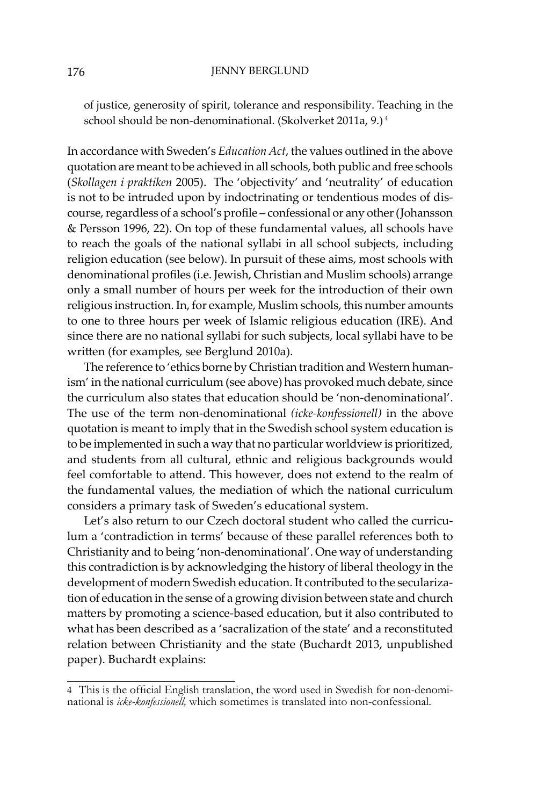of justice, generosity of spirit, tolerance and responsibility. Teaching in the school should be non-denominational. (Skolverket 2011a, 9.)<sup>4</sup>

In accordance with Sweden's *Education Act*, the values outlined in the above quotation are meant to be achieved in all schools, both public and free schools (*Skollagen i praktiken* 2005). The 'objectivity' and 'neutrality' of education is not to be intruded upon by indoctrinating or tendentious modes of discourse, regardless of a school's profile – confessional or any other (Johansson & Persson 1996, 22). On top of these fundamental values, all schools have to reach the goals of the national syllabi in all school subjects, including religion education (see below). In pursuit of these aims, most schools with denominational profiles (i.e. Jewish, Christian and Muslim schools) arrange only a small number of hours per week for the introduction of their own religious instruction. In, for example, Muslim schools, this number amounts to one to three hours per week of Islamic religious education (IRE). And since there are no national syllabi for such subjects, local syllabi have to be written (for examples, see Berglund 2010a).

The reference to 'ethics borne by Christian tradition and Western humanism' in the national curriculum (see above) has provoked much debate, since the curriculum also states that education should be 'non-denominational'. The use of the term non-denominational *(icke-konfessionell)* in the above quotation is meant to imply that in the Swedish school system education is to be implemented in such a way that no particular worldview is prioritized, and students from all cultural, ethnic and religious backgrounds would feel comfortable to attend. This however, does not extend to the realm of the fundamental values, the mediation of which the national curriculum considers a primary task of Sweden's educational system.

Let's also return to our Czech doctoral student who called the curriculum a 'contradiction in terms' because of these parallel references both to Christianity and to being 'non-denominational'. One way of understanding this contradiction is by acknowledging the history of liberal theology in the development of modern Swedish education. It contributed to the secularization of education in the sense of a growing division between state and church matters by promoting a science-based education, but it also contributed to what has been described as a 'sacralization of the state' and a reconstituted relation between Christianity and the state (Buchardt 2013, unpublished paper). Buchardt explains:

<sup>4</sup>  This is the official English translation, the word used in Swedish for non-denominational is *icke-konfessionell,* which sometimes is translated into non-confessional.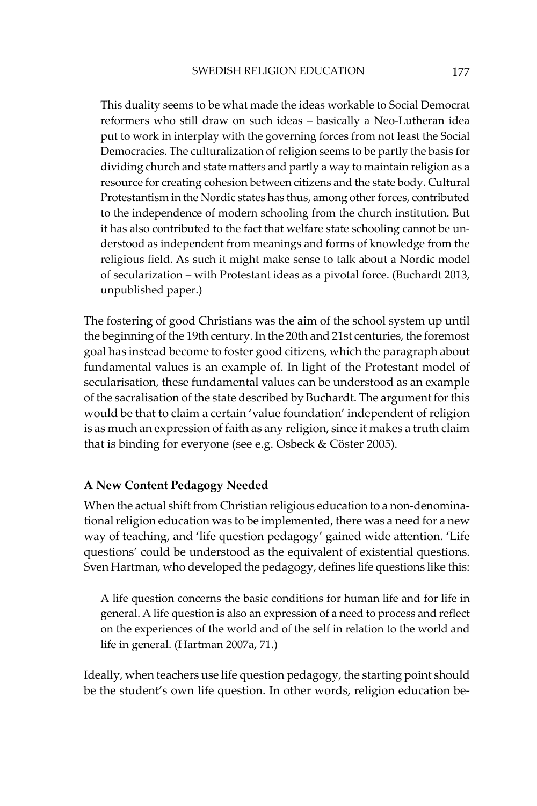This duality seems to be what made the ideas workable to Social Democrat reformers who still draw on such ideas – basically a Neo-Lutheran idea put to work in interplay with the governing forces from not least the Social Democracies. The culturalization of religion seems to be partly the basis for dividing church and state matters and partly a way to maintain religion as a resource for creating cohesion between citizens and the state body. Cultural Protestantism in the Nordic states has thus, among other forces, contributed to the independence of modern schooling from the church institution. But it has also contributed to the fact that welfare state schooling cannot be understood as independent from meanings and forms of knowledge from the religious field. As such it might make sense to talk about a Nordic model of secularization – with Protestant ideas as a pivotal force. (Buchardt 2013, unpublished paper.)

The fostering of good Christians was the aim of the school system up until the beginning of the 19th century. In the 20th and 21st centuries, the foremost goal has instead become to foster good citizens, which the paragraph about fundamental values is an example of. In light of the Protestant model of secularisation, these fundamental values can be understood as an example of the sacralisation of the state described by Buchardt. The argument for this would be that to claim a certain 'value foundation' independent of religion is as much an expression of faith as any religion, since it makes a truth claim that is binding for everyone (see e.g. Osbeck & Cöster 2005).

# **A New Content Pedagogy Needed**

When the actual shift from Christian religious education to a non-denominational religion education was to be implemented, there was a need for a new way of teaching, and 'life question pedagogy' gained wide attention. 'Life questions' could be understood as the equivalent of existential questions. Sven Hartman, who developed the pedagogy, defines life questions like this:

A life question concerns the basic conditions for human life and for life in general. A life question is also an expression of a need to process and reflect on the experiences of the world and of the self in relation to the world and life in general. (Hartman 2007a, 71.)

Ideally, when teachers use life question pedagogy, the starting point should be the student's own life question. In other words, religion education be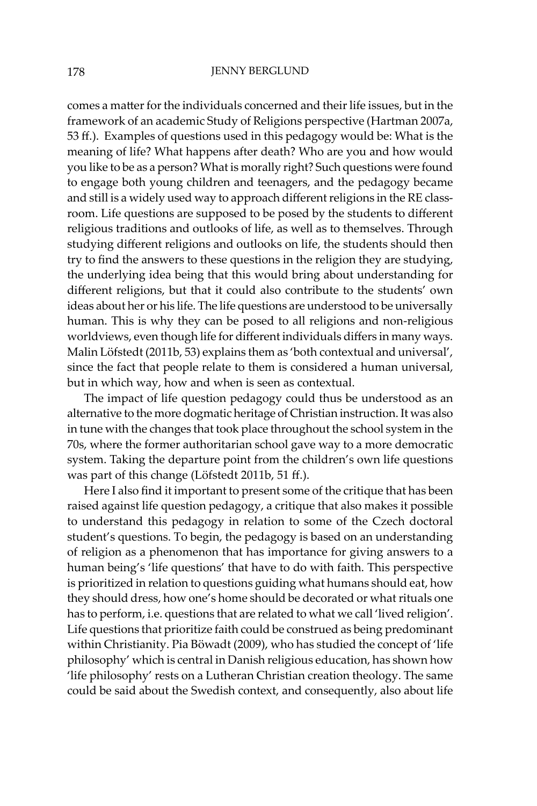comes a matter for the individuals concerned and their life issues, but in the framework of an academic Study of Religions perspective (Hartman 2007a, 53 ff.). Examples of questions used in this pedagogy would be: What is the meaning of life? What happens after death? Who are you and how would you like to be as a person? What is morally right? Such questions were found to engage both young children and teenagers, and the pedagogy became and still is a widely used way to approach different religions in the RE classroom. Life questions are supposed to be posed by the students to different religious traditions and outlooks of life, as well as to themselves. Through studying different religions and outlooks on life, the students should then try to find the answers to these questions in the religion they are studying, the underlying idea being that this would bring about understanding for different religions, but that it could also contribute to the students' own ideas about her or his life. The life questions are understood to be universally human. This is why they can be posed to all religions and non-religious worldviews, even though life for different individuals differs in many ways. Malin Löfstedt (2011b, 53) explains them as 'both contextual and universal', since the fact that people relate to them is considered a human universal, but in which way, how and when is seen as contextual.

The impact of life question pedagogy could thus be understood as an alternative to the more dogmatic heritage of Christian instruction. It was also in tune with the changes that took place throughout the school system in the 70s, where the former authoritarian school gave way to a more democratic system. Taking the departure point from the children's own life questions was part of this change (Löfstedt 2011b, 51 ff.).

Here I also find it important to present some of the critique that has been raised against life question pedagogy, a critique that also makes it possible to understand this pedagogy in relation to some of the Czech doctoral student's questions. To begin, the pedagogy is based on an understanding of religion as a phenomenon that has importance for giving answers to a human being's 'life questions' that have to do with faith. This perspective is prioritized in relation to questions guiding what humans should eat, how they should dress, how one's home should be decorated or what rituals one has to perform, i.e. questions that are related to what we call 'lived religion'. Life questions that prioritize faith could be construed as being predominant within Christianity. Pia Böwadt (2009), who has studied the concept of 'life philosophy' which is central in Danish religious education, has shown how 'life philosophy' rests on a Lutheran Christian creation theology. The same could be said about the Swedish context, and consequently, also about life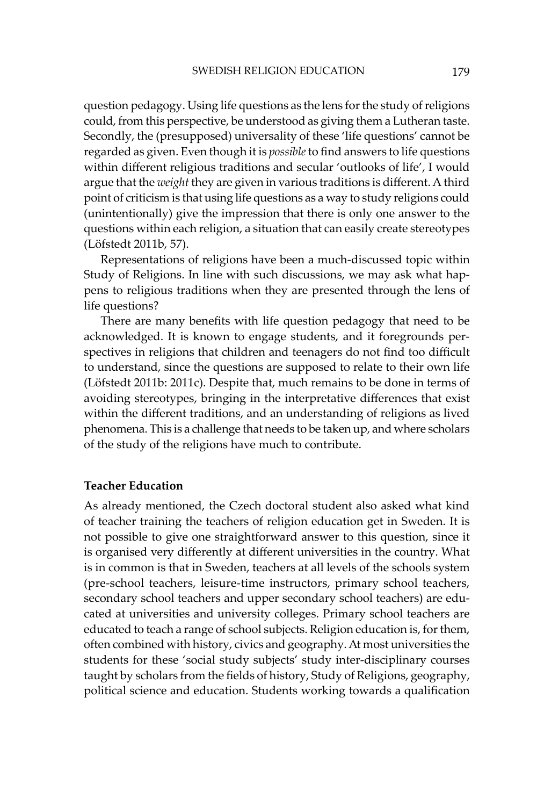question pedagogy. Using life questions as the lens for the study of religions could, from this perspective, be understood as giving them a Lutheran taste. Secondly, the (presupposed) universality of these 'life questions' cannot be regarded as given. Even though it is *possible* to find answers to life questions within different religious traditions and secular 'outlooks of life', I would argue that the *weight* they are given in various traditions is different. A third point of criticism is that using life questions as a way to study religions could (unintentionally) give the impression that there is only one answer to the questions within each religion, a situation that can easily create stereotypes (Löfstedt 2011b, 57).

Representations of religions have been a much-discussed topic within Study of Religions. In line with such discussions, we may ask what happens to religious traditions when they are presented through the lens of life questions?

There are many benefits with life question pedagogy that need to be acknowledged. It is known to engage students, and it foregrounds perspectives in religions that children and teenagers do not find too difficult to understand, since the questions are supposed to relate to their own life (Löfstedt 2011b: 2011c). Despite that, much remains to be done in terms of avoiding stereotypes, bringing in the interpretative differences that exist within the different traditions, and an understanding of religions as lived phenomena. This is a challenge that needs to be taken up, and where scholars of the study of the religions have much to contribute.

## **Teacher Education**

As already mentioned, the Czech doctoral student also asked what kind of teacher training the teachers of religion education get in Sweden. It is not possible to give one straightforward answer to this question, since it is organised very differently at different universities in the country. What is in common is that in Sweden, teachers at all levels of the schools system (pre-school teachers, leisure-time instructors, primary school teachers, secondary school teachers and upper secondary school teachers) are educated at universities and university colleges. Primary school teachers are educated to teach a range of school subjects. Religion education is, for them, often combined with history, civics and geography. At most universities the students for these 'social study subjects' study inter-disciplinary courses taught by scholars from the fields of history, Study of Religions, geography, political science and education. Students working towards a qualification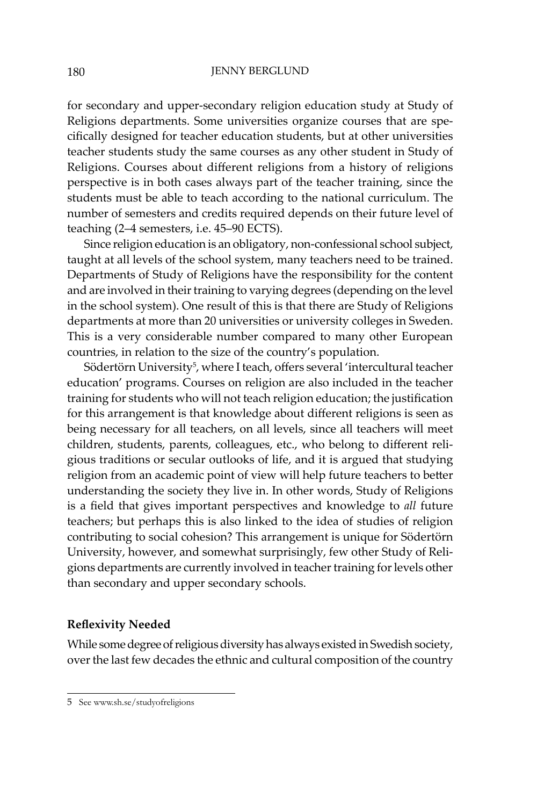for secondary and upper-secondary religion education study at Study of Religions departments. Some universities organize courses that are specifically designed for teacher education students, but at other universities teacher students study the same courses as any other student in Study of Religions. Courses about different religions from a history of religions perspective is in both cases always part of the teacher training, since the students must be able to teach according to the national curriculum. The number of semesters and credits required depends on their future level of teaching (2–4 semesters, i.e. 45–90 ECTS).

Since religion education is an obligatory, non-confessional school subject, taught at all levels of the school system, many teachers need to be trained. Departments of Study of Religions have the responsibility for the content and are involved in their training to varying degrees (depending on the level in the school system). One result of this is that there are Study of Religions departments at more than 20 universities or university colleges in Sweden. This is a very considerable number compared to many other European countries, in relation to the size of the country's population.

Södertörn University<sup>5</sup>, where I teach, offers several 'intercultural teacher education' programs. Courses on religion are also included in the teacher training for students who will not teach religion education; the justification for this arrangement is that knowledge about different religions is seen as being necessary for all teachers, on all levels, since all teachers will meet children, students, parents, colleagues, etc., who belong to different religious traditions or secular outlooks of life, and it is argued that studying religion from an academic point of view will help future teachers to better understanding the society they live in. In other words, Study of Religions is a field that gives important perspectives and knowledge to *all* future teachers; but perhaps this is also linked to the idea of studies of religion contributing to social cohesion? This arrangement is unique for Södertörn University, however, and somewhat surprisingly, few other Study of Religions departments are currently involved in teacher training for levels other than secondary and upper secondary schools.

# **Reflexivity Needed**

While some degree of religious diversity has always existed in Swedish society, over the last few decades the ethnic and cultural composition of the country

<sup>5</sup>  See www.sh.se/studyofreligions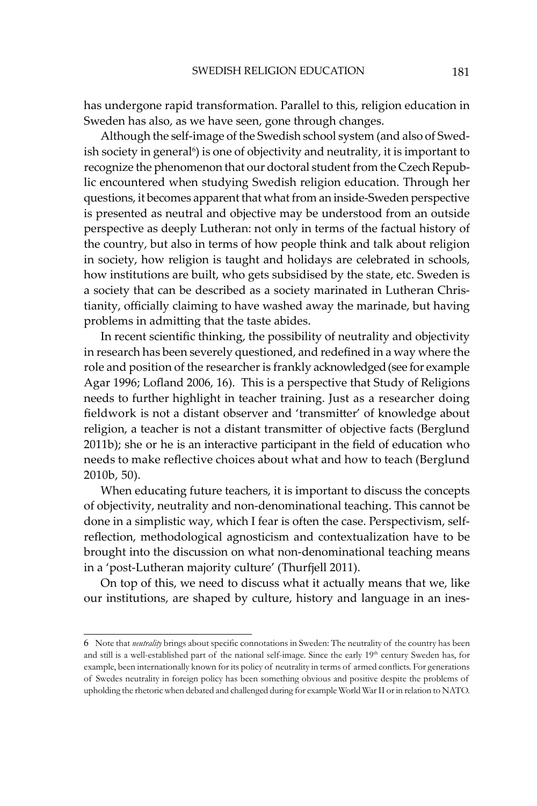has undergone rapid transformation. Parallel to this, religion education in Sweden has also, as we have seen, gone through changes.

Although the self-image of the Swedish school system (and also of Swedish society in general<sup>6</sup>) is one of objectivity and neutrality, it is important to recognize the phenomenon that our doctoral student from the Czech Republic encountered when studying Swedish religion education. Through her questions, it becomes apparent that what from an inside-Sweden perspective is presented as neutral and objective may be understood from an outside perspective as deeply Lutheran: not only in terms of the factual history of the country, but also in terms of how people think and talk about religion in society, how religion is taught and holidays are celebrated in schools, how institutions are built, who gets subsidised by the state, etc. Sweden is a society that can be described as a society marinated in Lutheran Christianity, officially claiming to have washed away the marinade, but having problems in admitting that the taste abides.

In recent scientific thinking, the possibility of neutrality and objectivity in research has been severely questioned, and redefined in a way where the role and position of the researcher is frankly acknowledged (see for example Agar 1996; Lofland 2006, 16). This is a perspective that Study of Religions needs to further highlight in teacher training. Just as a researcher doing fieldwork is not a distant observer and 'transmitter' of knowledge about religion, a teacher is not a distant transmitter of objective facts (Berglund 2011b); she or he is an interactive participant in the field of education who needs to make reflective choices about what and how to teach (Berglund 2010b, 50).

When educating future teachers, it is important to discuss the concepts of objectivity, neutrality and non-denominational teaching. This cannot be done in a simplistic way, which I fear is often the case. Perspectivism, selfreflection, methodological agnosticism and contextualization have to be brought into the discussion on what non-denominational teaching means in a 'post-Lutheran majority culture' (Thurfjell 2011).

On top of this, we need to discuss what it actually means that we, like our institutions, are shaped by culture, history and language in an ines-

<sup>6</sup>  Note that *neutrality* brings about specific connotations in Sweden: The neutrality of the country has been and still is a well-established part of the national self-image. Since the early 19<sup>th</sup> century Sweden has, for example, been internationally known for its policy of neutrality in terms of armed conflicts. For generations of Swedes neutrality in foreign policy has been something obvious and positive despite the problems of upholding the rhetoric when debated and challenged during for example World War II or in relation to NATO.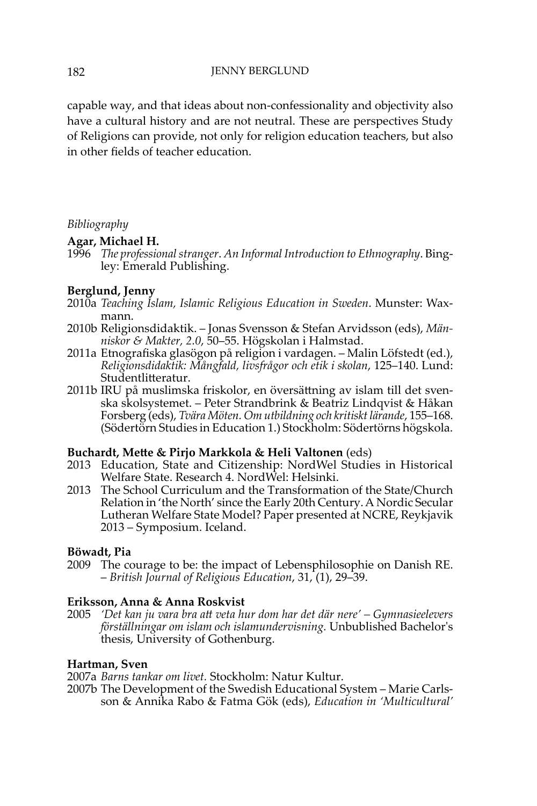capable way, and that ideas about non-confessionality and objectivity also have a cultural history and are not neutral. These are perspectives Study of Religions can provide, not only for religion education teachers, but also in other fields of teacher education.

# *Bibliography*

# **Agar, Michael H.**

1996 *The professional stranger*. *An Informal Introduction to Ethnography*. Bingley: Emerald Publishing.

# **Berglund, Jenny**

- 2010a *Teaching Islam, Islamic Religious Education in Sweden*. Munster: Waxmann.
- 2010b Religionsdidaktik. Jonas Svensson & Stefan Arvidsson (eds), *Människor & Makter, 2.0*, 50–55. Högskolan i Halmstad.
- 2011a Etnografiska glasögon på religion i vardagen. Malin Löfstedt (ed.), *Religionsdidaktik: Mångfald, livsfrågor och etik i skolan*, 125–140. Lund: Studentlitteratur.
- 2011b IRU på muslimska friskolor, en översättning av islam till det svenska skolsystemet. – Peter Strandbrink & Beatriz Lindqvist & Håkan Forsberg (eds), *Tvära Möten. Om utbildning och kritiskt lärande*, 155–168. (Södertörn Studies in Education 1.) Stockholm: Södertörns högskola.

## **Buchardt, Mette & Pirjo Markkola & Heli Valtonen** (eds)

- 2013 Education, State and Citizenship: NordWel Studies in Historical Welfare State. Research 4. NordWel: Helsinki.
- 2013 The School Curriculum and the Transformation of the State/Church Relation in 'the North' since the Early 20th Century. A Nordic Secular Lutheran Welfare State Model? Paper presented at NCRE, Reykjavik 2013 – Symposium. Iceland.

## **Böwadt, Pia**

2009 The courage to be: the impact of Lebensphilosophie on Danish RE. – *British Journal of Religious Education*, 31, (1), 29–39.

## **Eriksson, Anna & Anna Roskvist**

2005 *'Det kan ju vara bra att veta hur dom har det där nere' – Gymnasieelevers förställningar om islam och islamundervisning.* Unbublished Bachelor's thesis, University of Gothenburg.

## **Hartman, Sven**

2007a *Barns tankar om livet.* Stockholm: Natur Kultur.

2007b The Development of the Swedish Educational System – Marie Carlsson & Annika Rabo & Fatma Gök (eds), *Education in 'Multicultural'*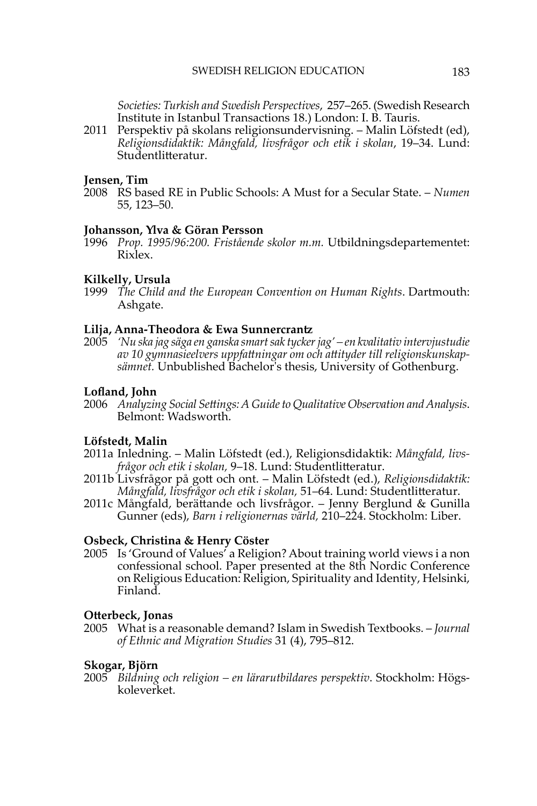*Societies: Turkish and Swedish Perspectives*, 257–265. (Swedish Research Institute in Istanbul Transactions 18.) London: I. B. Tauris.

2011 Perspektiv på skolans religionsundervisning. – Malin Löfstedt (ed), *Religionsdidaktik: Mångfald, livsfrågor och etik i skolan*, 19–34. Lund: Studentlitteratur.

#### **Jensen, Tim**

2008 RS based RE in Public Schools: A Must for a Secular State. – *Numen* 55, 123–50.

#### **Johansson, Ylva & Göran Persson**

1996 *Prop. 1995/96:200. Fristående skolor m.m.* Utbildningsdepartementet: Rixlex.

#### **Kilkelly, Ursula**

1999 *The Child and the European Convention on Human Rights*. Dartmouth: Ashgate.

#### **Lilja, Anna-Theodora & Ewa Sunnercrantz**

2005 *'Nu ska jag säga en ganska smart sak tycker jag' – en kvalitativ intervjustudie av 10 gymnasieelvers uppfattningar om och attityder till religionskunskapsämnet.* Unbublished Bachelor's thesis, University of Gothenburg.

### **Lofland, John**

2006 *Analyzing Social Settings: A Guide to Qualitative Observation and Analysis*. Belmont: Wadsworth.

## **Löfstedt, Malin**

- 2011a Inledning. Malin Löfstedt (ed.), Religionsdidaktik: *Mångfald, livsfrågor och etik i skolan,* 9–18. Lund: Studentlitteratur.
- 2011b Livsfrågor på gott och ont. Malin Löfstedt (ed.), *Religionsdidaktik: Mångfald, livsfrågor och etik i skolan,* 51–64. Lund: Studentlitteratur.
- 2011c Mångfald, berättande och livsfrågor. Jenny Berglund & Gunilla Gunner (eds), *Barn i religionernas värld,* 210–224. Stockholm: Liber.

#### **Osbeck, Christina & Henry Cöster**

2005 Is 'Ground of Values' a Religion? About training world views i a non confessional school. Paper presented at the 8th Nordic Conference on Religious Education: Religion, Spirituality and Identity, Helsinki, Finland.

#### **Otterbeck, Jonas**

2005 What is a reasonable demand? Islam in Swedish Textbooks. – *Journal of Ethnic and Migration Studies* 31 (4), 795–812.

#### **Skogar, Björn**

2005 *Bildning och religion – en lärarutbildares perspektiv*. Stockholm: Högskoleverket.